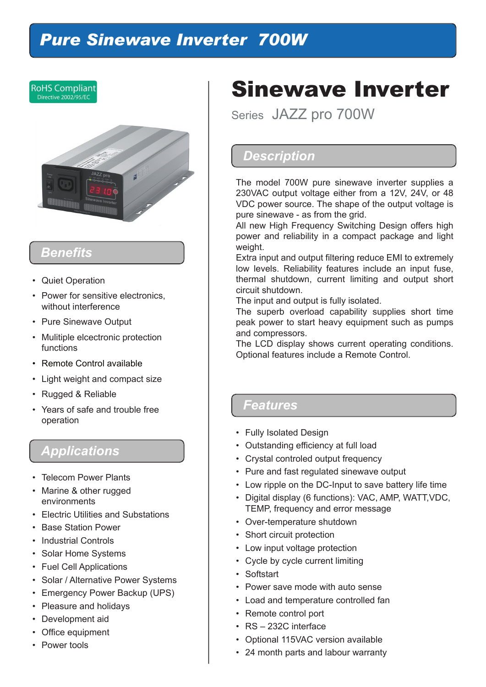# *Pure Sinewave Inverter 700W*



# *Benefits*

- Quiet Operation
- Power for sensitive electronics, without interference
- Pure Sinewave Output
- Mulitiple elcectronic protection functions
- Remote Control available
- Light weight and compact size
- Rugged & Reliable
- Years of safe and trouble free operation

### *Applications*

- Telecom Power Plants
- Marine & other rugged environments
- Electric Utilities and Substations
- Base Station Power
- Industrial Controls
- Solar Home Systems
- Fuel Cell Applications
- Solar / Alternative Power Systems
- Emergency Power Backup (UPS)
- Pleasure and holidays
- Development aid
- Office equipment
- Power tools

# Sinewave Inverter

Series JAZZ pro 700W

#### *Description*

The model 700W pure sinewave inverter supplies a 230VAC output voltage either from a 12V, 24V, or 48 VDC power source. The shape of the output voltage is pure sinewave - as from the grid.

All new High Frequency Switching Design offers high power and reliability in a compact package and light weight.

Extra input and output filtering reduce EMI to extremely low levels. Reliability features include an input fuse, thermal shutdown, current limiting and output short circuit shutdown.

The input and output is fully isolated.

The superb overload capability supplies short time peak power to start heavy equipment such as pumps and compressors.

The LCD display shows current operating conditions. Optional features include a Remote Control.

#### *Features*

- Fully Isolated Design
- Outstanding efficiency at full load
- Crystal controled output frequency
- Pure and fast regulated sinewave output
- Low ripple on the DC-Input to save battery life time
- Digital display (6 functions): VAC, AMP, WATT,VDC, TEMP, frequency and error message
- Over-temperature shutdown
- Short circuit protection
- Low input voltage protection
- Cycle by cycle current limiting
- Softstart
- Power save mode with auto sense
- Load and temperature controlled fan
- Remote control port
- RS 232C interface
- Optional 115VAC version available
- 24 month parts and labour warranty